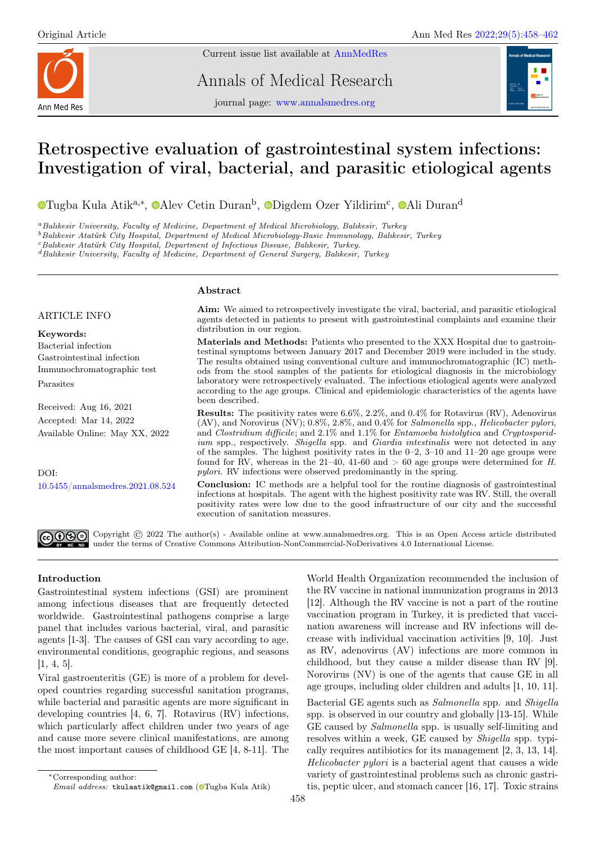Current issue list available at [AnnMedRes](https://annalsmedres.org/index.php/aomr/issue/view/163)

Ann Med Res

Annals of Medical Research

journal page: [www.annalsmedres.org](https://www.annalsmedres.org)



# Retrospective evaluation of gastrointestinal system infections: Investigation of viral, bacterial, and parasitic etiological agents

[T](https://orcid.org/0000-0002-2433-1977)ugba Kula [A](https://orcid.org/0000-0002-2567-5317)tik<sup>a,∗</sup>, ©Alev Cetin [D](https://orcid.org/0000-0002-6277-1615)uran<sup>b</sup>, ©Digdem Ozer Yildirim<sup>c</sup>, ©Ali Duran<sup>d</sup>

<sup>a</sup>Balıkesir University, Faculty of Medicine, Department of Medical Microbiology, Balıkesir, Turkey

<sup>b</sup>Balıkesir Atatürk City Hospital, Department of Medical Microbiology-Basic Immunology, Balıkesir, Turkey

<sup>c</sup>Balıkesir Atatürk City Hospital, Department of Infectious Disease, Balıkesir, Turkey.

<sup>d</sup>Balıkesir University, Faculty of Medicine, Department of General Surgery, Balıkesir, Turkey

### Abstract

### ARTICLE INFO

Keywords: Bacterial infection Gastrointestinal infection Immunochromatographic test Parasites

Received: Aug 16, 2021 Accepted: Mar 14, 2022 Available Online: May XX, 2022

DOI: [10.5455/annalsmedres.2021.08.524](https://doi.org/10.5455/annalsmedres.2021.08.524)

Aim: We aimed to retrospectively investigate the viral, bacterial, and parasitic etiological agents detected in patients to present with gastrointestinal complaints and examine their distribution in our region.

Materials and Methods: Patients who presented to the XXX Hospital due to gastrointestinal symptoms between January 2017 and December 2019 were included in the study. The results obtained using conventional culture and immunochromatographic (IC) methods from the stool samples of the patients for etiological diagnosis in the microbiology laboratory were retrospectively evaluated. The infectious etiological agents were analyzed according to the age groups. Clinical and epidemiologic characteristics of the agents have been described.

Results: The positivity rates were 6.6%, 2.2%, and 0.4% for Rotavirus (RV), Adenovirus (AV), and Norovirus (NV); 0.8%, 2.8%, and 0.4% for Salmonella spp., Helicobacter pylori, and Clostridium difficile; and 2.1% and 1.1% for Entamoeba histolytica and Cryptosporidium spp., respectively. Shigella spp. and Giardia intestinalis were not detected in any of the samples. The highest positivity rates in the  $0-2$ ,  $3-10$  and  $11-20$  age groups were found for RV, whereas in the 21–40, 41-60 and  $> 60$  age groups were determined for H. pylori. RV infections were observed predominantly in the spring.

Conclusion: IC methods are a helpful tool for the routine diagnosis of gastrointestinal infections at hospitals. The agent with the highest positivity rate was RV. Still, the overall positivity rates were low due to the good infrastructure of our city and the successful execution of sanitation measures.

Copyright  $\odot$  2022 The author(s) - Available online at www.annalsmedres.org. This is an Open Access article distributed under the terms of Creative Commons Attribution-NonCommercial-NoDerivatives 4.0 International License.

# Introduction

Gastrointestinal system infections (GSI) are prominent among infectious diseases that are frequently detected worldwide. Gastrointestinal pathogens comprise a large panel that includes various bacterial, viral, and parasitic agents [1-3]. The causes of GSI can vary according to age, environmental conditions, geographic regions, and seasons  $[1, 4, 5].$ 

Viral gastroenteritis (GE) is more of a problem for developed countries regarding successful sanitation programs, while bacterial and parasitic agents are more significant in developing countries [4, 6, 7]. Rotavirus (RV) infections, which particularly affect children under two years of age and cause more severe clinical manifestations, are among the most important causes of childhood GE [4, 8-11]. The

<sup>∗</sup>Corresponding author:  $Email$   $address:$  tkulaatik@gmail.com (@[T](https://orcid.org/0000-0002-2433-1977)ugba Kula Atik)

World Health Organization recommended the inclusion of the RV vaccine in national immunization programs in 2013 [12]. Although the RV vaccine is not a part of the routine vaccination program in Turkey, it is predicted that vaccination awareness will increase and RV infections will decrease with individual vaccination activities [9, 10]. Just as RV, adenovirus (AV) infections are more common in childhood, but they cause a milder disease than RV [9]. Norovirus (NV) is one of the agents that cause GE in all age groups, including older children and adults [1, 10, 11].

Bacterial GE agents such as Salmonella spp. and Shigella spp. is observed in our country and globally [13-15]. While GE caused by Salmonella spp. is usually self-limiting and resolves within a week, GE caused by Shigella spp. typically requires antibiotics for its management [2, 3, 13, 14]. Helicobacter pylori is a bacterial agent that causes a wide variety of gastrointestinal problems such as chronic gastritis, peptic ulcer, and stomach cancer [16, 17]. Toxic strains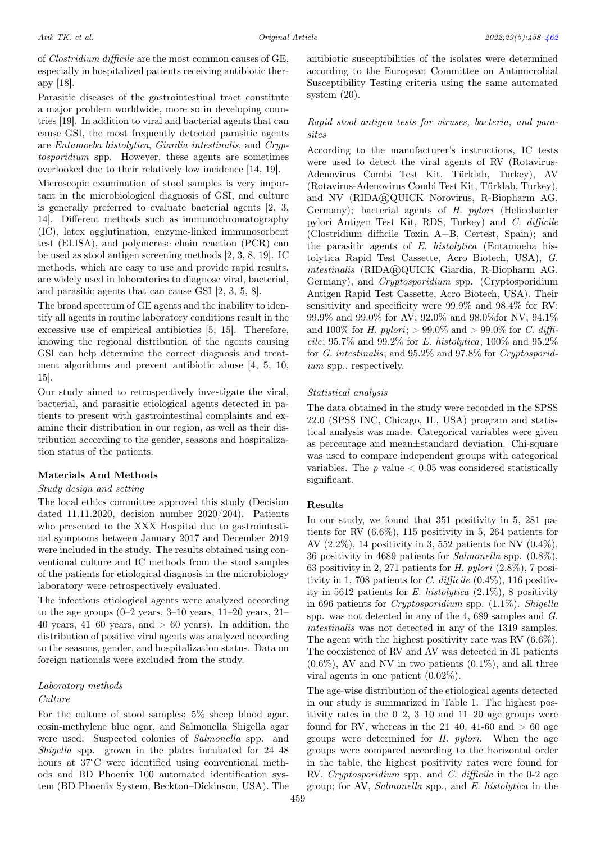of Clostridium difficile are the most common causes of GE, especially in hospitalized patients receiving antibiotic therapy [18].

Parasitic diseases of the gastrointestinal tract constitute a major problem worldwide, more so in developing countries [19]. In addition to viral and bacterial agents that can cause GSI, the most frequently detected parasitic agents are Entamoeba histolytica, Giardia intestinalis, and Cryptosporidium spp. However, these agents are sometimes overlooked due to their relatively low incidence [14, 19].

Microscopic examination of stool samples is very important in the microbiological diagnosis of GSI, and culture is generally preferred to evaluate bacterial agents [2, 3, 14]. Different methods such as immunochromatography (IC), latex agglutination, enzyme-linked immunosorbent test (ELISA), and polymerase chain reaction (PCR) can be used as stool antigen screening methods [2, 3, 8, 19]. IC methods, which are easy to use and provide rapid results, are widely used in laboratories to diagnose viral, bacterial, and parasitic agents that can cause GSI [2, 3, 5, 8].

The broad spectrum of GE agents and the inability to identify all agents in routine laboratory conditions result in the excessive use of empirical antibiotics [5, 15]. Therefore, knowing the regional distribution of the agents causing GSI can help determine the correct diagnosis and treatment algorithms and prevent antibiotic abuse [4, 5, 10, 15].

Our study aimed to retrospectively investigate the viral, bacterial, and parasitic etiological agents detected in patients to present with gastrointestinal complaints and examine their distribution in our region, as well as their distribution according to the gender, seasons and hospitalization status of the patients.

# Materials And Methods

# Study design and setting

The local ethics committee approved this study (Decision dated 11.11.2020, decision number 2020/204). Patients who presented to the XXX Hospital due to gastrointestinal symptoms between January 2017 and December 2019 were included in the study. The results obtained using conventional culture and IC methods from the stool samples of the patients for etiological diagnosis in the microbiology laboratory were retrospectively evaluated.

The infectious etiological agents were analyzed according to the age groups  $(0-2 \text{ years}, 3-10 \text{ years}, 11-20 \text{ years}, 21-$ 40 years, 41–60 years, and  $> 60$  years). In addition, the distribution of positive viral agents was analyzed according to the seasons, gender, and hospitalization status. Data on foreign nationals were excluded from the study.

### Laboratory methods Culture

For the culture of stool samples; 5% sheep blood agar, eosin-methylene blue agar, and Salmonella–Shigella agar were used. Suspected colonies of Salmonella spp. and Shigella spp. grown in the plates incubated for 24–48 hours at 37°C were identified using conventional methods and BD Phoenix 100 automated identification system (BD Phoenix System, Beckton–Dickinson, USA). The

antibiotic susceptibilities of the isolates were determined according to the European Committee on Antimicrobial Susceptibility Testing criteria using the same automated system (20).

# Rapid stool antigen tests for viruses, bacteria, and parasites

According to the manufacturer's instructions, IC tests were used to detect the viral agents of RV (Rotavirus-Adenovirus Combi Test Kit, Türklab, Turkey), AV (Rotavirus-Adenovirus Combi Test Kit, Türklab, Turkey), and NV  $(RIDA(R)QUICK$  Norovirus, R-Biopharm AG, Germany); bacterial agents of H. pylori (Helicobacter pylori Antigen Test Kit, RDS, Turkey) and C. difficile (Clostridium difficile Toxin A+B, Certest, Spain); and the parasitic agents of E. histolytica (Entamoeba histolytica Rapid Test Cassette, Acro Biotech, USA), G.  $intestinalis$  (RIDA®QUICK Giardia, R-Biopharm AG, Germany), and Cryptosporidium spp. (Cryptosporidium Antigen Rapid Test Cassette, Acro Biotech, USA). Their sensitivity and specificity were 99.9% and 98.4% for RV; 99.9% and 99.0% for AV; 92.0% and 98.0%for NV; 94.1% and 100% for *H. pylori*;  $> 99.0\%$  and  $> 99.0\%$  for *C. difficile*; 95.7% and 99.2% for *E. histolytica*; 100% and 95.2% for G. intestinalis; and 95.2% and 97.8% for Cryptosporidium spp., respectively.

### Statistical analysis

The data obtained in the study were recorded in the SPSS 22.0 (SPSS INC, Chicago, IL, USA) program and statistical analysis was made. Categorical variables were given as percentage and mean±standard deviation. Chi-square was used to compare independent groups with categorical variables. The  $p$  value  $< 0.05$  was considered statistically significant.

### Results

In our study, we found that 351 positivity in 5, 281 patients for RV (6.6%), 115 positivity in 5, 264 patients for AV (2.2%), 14 positivity in 3, 552 patients for NV (0.4%), 36 positivity in 4689 patients for Salmonella spp. (0.8%), 63 positivity in 2, 271 patients for H. pylori  $(2.8\%)$ , 7 positivity in 1, 708 patients for C. difficile  $(0.4\%)$ , 116 positivity in 5612 patients for E. histolytica  $(2.1\%)$ , 8 positivity in 696 patients for Cryptosporidium spp. (1.1%). Shigella spp. was not detected in any of the 4, 689 samples and G. intestinalis was not detected in any of the 1319 samples. The agent with the highest positivity rate was RV (6.6%). The coexistence of RV and AV was detected in 31 patients  $(0.6\%)$ , AV and NV in two patients  $(0.1\%)$ , and all three viral agents in one patient (0.02%).

The age-wise distribution of the etiological agents detected in our study is summarized in Table 1. The highest positivity rates in the  $0-2$ ,  $3-10$  and  $11-20$  age groups were found for RV, whereas in the 21–40, 41-60 and  $> 60$  age groups were determined for H. pylori. When the age groups were compared according to the horizontal order in the table, the highest positivity rates were found for RV, *Cruptosporidium* spp. and *C. difficile* in the 0-2 age group; for AV, Salmonella spp., and E. histolytica in the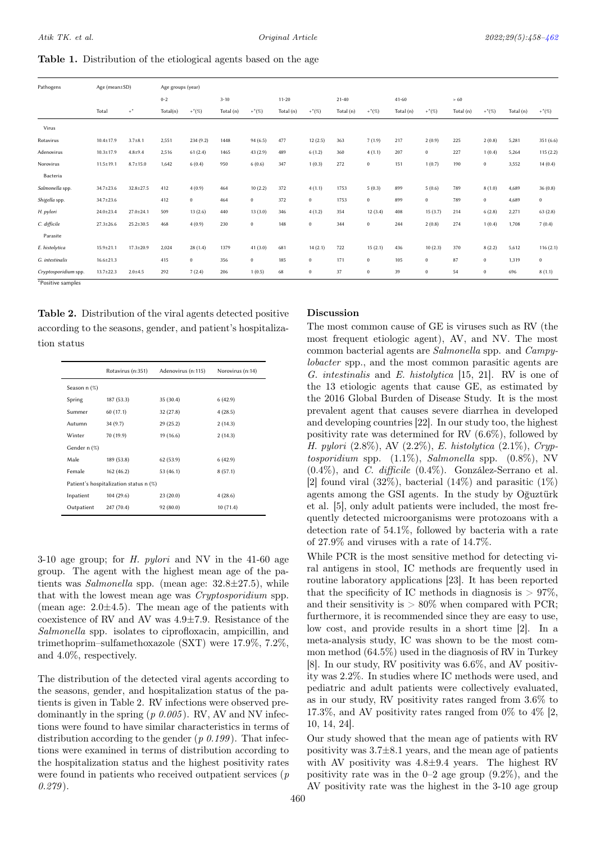Table 1. Distribution of the etiological agents based on the age

| Pathogens            | Age (mean±SD)   |                 | Age groups (year) |                  |           |               |           |                  |           |              |           |               |           |              |           |           |
|----------------------|-----------------|-----------------|-------------------|------------------|-----------|---------------|-----------|------------------|-----------|--------------|-----------|---------------|-----------|--------------|-----------|-----------|
|                      |                 |                 | $0 - 2$           |                  | $3 - 10$  |               | $11 - 20$ |                  | $21 - 40$ |              | $41 - 60$ |               | >60       |              |           |           |
|                      | Total           | $+^*$           | Total(n)          | $+*(\%)$         | Total (n) | $+\times$ (%) | Total (n) | $+*(\%)$         | Total (n) | $+*(\%)$     | Total (n) | $+\times$ (%) | Total (n) | $+*(\%)$     | Total (n) | $+*(\%)$  |
| Virus                |                 |                 |                   |                  |           |               |           |                  |           |              |           |               |           |              |           |           |
| Rotavirus            | $10.4 \pm 17.9$ | $3.7 + 8.1$     | 2,551             | 234 (9.2)        | 1448      | 94(6.5)       | 477       | 12(2.5)          | 363       | 7(1.9)       | 217       | 2(0.9)        | 225       | 2(0.8)       | 5,281     | 351 (6.6) |
| Adenovirus           | $10.3 \pm 17.9$ | $4.8 + 9.4$     | 2,516             | 61(2.4)          | 1465      | 43(2.9)       | 489       | 6(1.2)           | 360       | 4(1.1)       | 207       | $\bf{0}$      | 227       | 1(0.4)       | 5,264     | 115(2.2)  |
| Norovirus            | $11.5 \pm 19.1$ | $8.7 \pm 15.0$  | 1,642             | 6(0.4)           | 950       | 6(0.6)        | 347       | 1(0.3)           | 272       | $\mathbf{0}$ | 151       | 1(0.7)        | 190       | $\bf{0}$     | 3,552     | 14(0.4)   |
| Bacteria             |                 |                 |                   |                  |           |               |           |                  |           |              |           |               |           |              |           |           |
| Salmonella spp.      | 34.7±23.6       | $32.8 \pm 27.5$ | 412               | 4(0.9)           | 464       | 10(2.2)       | 372       | 4(1.1)           | 1753      | 5(0.3)       | 899       | 5(0.6)        | 789       | 8(1.0)       | 4,689     | 36(0.8)   |
| Shigella spp.        | 34.7±23.6       |                 | 412               | $\boldsymbol{0}$ | 464       | $\mathbf{0}$  | 372       | $\mathbf{0}$     | 1753      | $\mathbf{0}$ | 899       | $\bf{0}$      | 789       | $\bf{0}$     | 4,689     | $\bf{0}$  |
| H. pylori            | $24.0 \pm 23.4$ | $27.0 \pm 24.1$ | 509               | 13(2.6)          | 440       | 13(3.0)       | 346       | 4(1.2)           | 354       | 12(3.4)      | 408       | 15(3.7)       | 214       | 6(2.8)       | 2,271     | 63(2.8)   |
| C. difficile         | $27.3 \pm 26.6$ | $25.2 \pm 30.5$ | 468               | 4(0.9)           | 230       | $\mathbf{0}$  | 148       | $\boldsymbol{0}$ | 344       | $\bf{0}$     | 244       | 2(0.8)        | 274       | 1(0.4)       | 1,708     | 7(0.4)    |
| Parasite             |                 |                 |                   |                  |           |               |           |                  |           |              |           |               |           |              |           |           |
| E. histolytica       | $15.9 \pm 21.1$ | $17.3 \pm 20.9$ | 2,024             | 28(1.4)          | 1379      | 41(3.0)       | 681       | 14(2.1)          | 722       | 15(2.1)      | 436       | 10(2.3)       | 370       | 8(2.2)       | 5,612     | 116(2.1)  |
| G. intestinalis      | $16.6 \pm 21.3$ |                 | 415               | $\boldsymbol{0}$ | 356       | $\mathbf{0}$  | 185       | $\mathbf{0}$     | 171       | $\bf{0}$     | 105       | $\bf{0}$      | 87        | $\bf{0}$     | 1,319     | $\bf 0$   |
| Cryptosporidium spp. | $13.7 \pm 22.3$ | $2.0 + 4.5$     | 292               | 7(2.4)           | 206       | 1(0.5)        | 68        | $\mathbf{0}$     | 37        | $\mathbf{0}$ | 39        | $\bf{0}$      | 54        | $\mathbf{0}$ | 696       | 8(1.1)    |

\*Positive samples

Table 2. Distribution of the viral agents detected positive according to the seasons, gender, and patient's hospitalization status

<span id="page-2-0"></span>

|                | Rotavirus (n:351)                      | Adenovirus (n:115) | Norovirus (n:14) |  |  |
|----------------|----------------------------------------|--------------------|------------------|--|--|
| Season $n$ (%) |                                        |                    |                  |  |  |
| Spring         | 187(53.3)                              | 35(30.4)           | 6(42.9)          |  |  |
| Summer         | 60(17.1)                               | 32(27.8)           | 4(28.5)          |  |  |
| Autumn         | 34(9.7)                                | 29(25.2)           | 2(14.3)          |  |  |
| Winter         | 70 (19.9)                              | 19(16.6)           | 2(14.3)          |  |  |
| Gender n (%)   |                                        |                    |                  |  |  |
| Male           | 189 (53.8)                             | 62(53.9)           | 6(42.9)          |  |  |
| Female         | 162(46.2)                              | 53 (46.1)          | 8(57.1)          |  |  |
|                | Patient's hospitalization status n (%) |                    |                  |  |  |
| Inpatient      | 104(29.6)                              | 23(20.0)           | 4(28.6)          |  |  |
| Outpatient     | 247 (70.4)                             | 92(80.0)           | 10(71.4)         |  |  |

3-10 age group; for  $H.$  pylori and NV in the 41-60 age group. The agent with the highest mean age of the patients was *Salmonella* spp. (mean age:  $32.8 \pm 27.5$ ), while that with the lowest mean age was Cryptosporidium spp. (mean age:  $2.0\pm4.5$ ). The mean age of the patients with coexistence of RV and AV was  $4.9\pm7.9$ . Resistance of the Salmonella spp. isolates to ciprofloxacin, ampicillin, and trimethoprim–sulfamethoxazole (SXT) were 17.9%, 7.2%, and 4.0%, respectively.

The distribution of the detected viral agents according to the seasons, gender, and hospitalization status of the patients is given in Table 2. RV infections were observed predominantly in the spring  $(p \theta.005)$ . RV, AV and NV infections were found to have similar characteristics in terms of distribution according to the gender (p  $(0.199)$ ). That infections were examined in terms of distribution according to the hospitalization status and the highest positivity rates were found in patients who received outpatient services (p  $(0.279)$ .

### Discussion

The most common cause of GE is viruses such as RV (the most frequent etiologic agent), AV, and NV. The most common bacterial agents are Salmonella spp. and Campylobacter spp., and the most common parasitic agents are G. intestinalis and E. histolytica [15, 21]. RV is one of the 13 etiologic agents that cause GE, as estimated by the 2016 Global Burden of Disease Study. It is the most prevalent agent that causes severe diarrhea in developed and developing countries [22]. In our study too, the highest positivity rate was determined for RV (6.6%), followed by H. pylori (2.8%), AV (2.2%), E. histolytica (2.1%), Cryptosporidium spp.  $(1.1\%),$  Salmonella spp.  $(0.8\%),$  NV  $(0.4\%)$ , and *C. difficile*  $(0.4\%)$ . González-Serrano et al. [2] found viral  $(32\%)$ , bacterial  $(14\%)$  and parasitic  $(1\%)$ agents among the GSI agents. In the study by Oğuztürk et al. [5], only adult patients were included, the most frequently detected microorganisms were protozoans with a detection rate of 54.1%, followed by bacteria with a rate of 27.9% and viruses with a rate of 14.7%.

While PCR is the most sensitive method for detecting viral antigens in stool, IC methods are frequently used in routine laboratory applications [23]. It has been reported that the specificity of IC methods in diagnosis is  $> 97\%$ , and their sensitivity is  $> 80\%$  when compared with PCR; furthermore, it is recommended since they are easy to use, low cost, and provide results in a short time [2]. In a meta-analysis study, IC was shown to be the most common method (64.5%) used in the diagnosis of RV in Turkey [8]. In our study, RV positivity was 6.6%, and AV positivity was 2.2%. In studies where IC methods were used, and pediatric and adult patients were collectively evaluated, as in our study, RV positivity rates ranged from 3.6% to 17.3%, and AV positivity rates ranged from  $0\%$  to  $4\%$  [2, 10, 14, 24].

Our study showed that the mean age of patients with RV positivity was  $3.7\pm8.1$  years, and the mean age of patients with AV positivity was 4.8±9.4 years. The highest RV positivity rate was in the  $0-2$  age group  $(9.2\%)$ , and the AV positivity rate was the highest in the 3-10 age group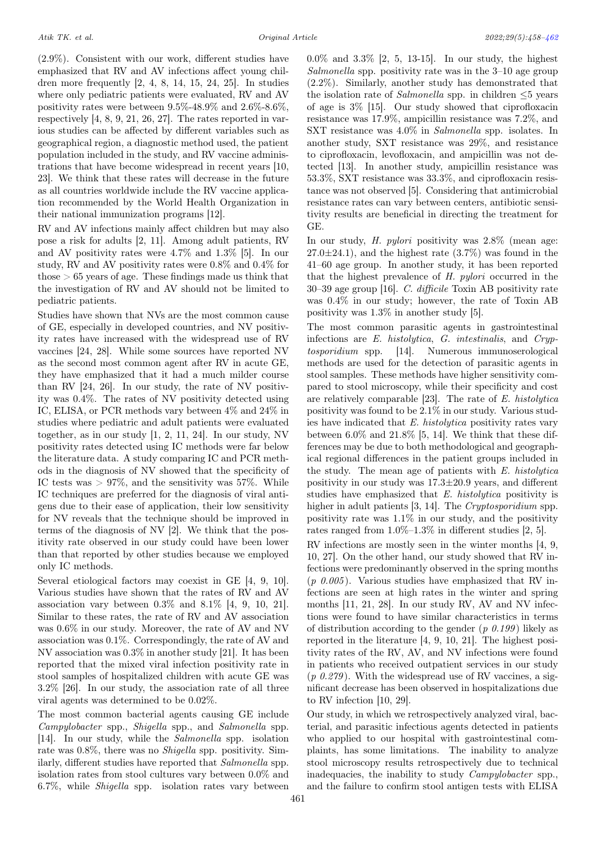(2.9%). Consistent with our work, different studies have emphasized that RV and AV infections affect young children more frequently [2, 4, 8, 14, 15, 24, 25]. In studies where only pediatric patients were evaluated, RV and AV positivity rates were between 9.5%-48.9% and 2.6%-8.6%, respectively [4, 8, 9, 21, 26, 27]. The rates reported in various studies can be affected by different variables such as geographical region, a diagnostic method used, the patient population included in the study, and RV vaccine administrations that have become widespread in recent years [10, 23]. We think that these rates will decrease in the future as all countries worldwide include the RV vaccine application recommended by the World Health Organization in their national immunization programs [12].

RV and AV infections mainly affect children but may also pose a risk for adults [2, 11]. Among adult patients, RV and AV positivity rates were 4.7% and 1.3% [5]. In our study, RV and AV positivity rates were 0.8% and 0.4% for  $those > 65$  years of age. These findings made us think that the investigation of RV and AV should not be limited to pediatric patients.

Studies have shown that NVs are the most common cause of GE, especially in developed countries, and NV positivity rates have increased with the widespread use of RV vaccines [24, 28]. While some sources have reported NV as the second most common agent after RV in acute GE, they have emphasized that it had a much milder course than RV [24, 26]. In our study, the rate of NV positivity was 0.4%. The rates of NV positivity detected using IC, ELISA, or PCR methods vary between 4% and 24% in studies where pediatric and adult patients were evaluated together, as in our study [1, 2, 11, 24]. In our study, NV positivity rates detected using IC methods were far below the literature data. A study comparing IC and PCR methods in the diagnosis of NV showed that the specificity of IC tests was  $> 97\%$ , and the sensitivity was 57%. While IC techniques are preferred for the diagnosis of viral antigens due to their ease of application, their low sensitivity for NV reveals that the technique should be improved in terms of the diagnosis of NV [2]. We think that the positivity rate observed in our study could have been lower than that reported by other studies because we employed only IC methods.

Several etiological factors may coexist in GE [4, 9, 10]. Various studies have shown that the rates of RV and AV association vary between  $0.3\%$  and  $8.1\%$  [4, 9, 10, 21]. Similar to these rates, the rate of RV and AV association was 0.6% in our study. Moreover, the rate of AV and NV association was 0.1%. Correspondingly, the rate of AV and NV association was 0.3% in another study [21]. It has been reported that the mixed viral infection positivity rate in stool samples of hospitalized children with acute GE was 3.2% [26]. In our study, the association rate of all three viral agents was determined to be 0.02%.

The most common bacterial agents causing GE include Campylobacter spp., Shigella spp., and Salmonella spp. [14]. In our study, while the Salmonella spp. isolation rate was 0.8%, there was no Shigella spp. positivity. Similarly, different studies have reported that Salmonella spp. isolation rates from stool cultures vary between 0.0% and 6.7%, while Shigella spp. isolation rates vary between

0.0% and 3.3% [2, 5, 13-15]. In our study, the highest Salmonella spp. positivity rate was in the 3–10 age group (2.2%). Similarly, another study has demonstrated that the isolation rate of Salmonella spp. in children  $\leq$ 5 years of age is 3% [15]. Our study showed that ciprofloxacin resistance was 17.9%, ampicillin resistance was 7.2%, and SXT resistance was 4.0% in Salmonella spp. isolates. In another study, SXT resistance was 29%, and resistance to ciprofloxacin, levofloxacin, and ampicillin was not detected [13]. In another study, ampicillin resistance was 53.3%, SXT resistance was 33.3%, and ciprofloxacin resistance was not observed [5]. Considering that antimicrobial resistance rates can vary between centers, antibiotic sensitivity results are beneficial in directing the treatment for GE.

In our study, H. pylori positivity was 2.8% (mean age:  $27.0\pm24.1$ , and the highest rate  $(3.7\%)$  was found in the 41–60 age group. In another study, it has been reported that the highest prevalence of H. pylori occurred in the 30–39 age group [16]. C. difficile Toxin AB positivity rate was 0.4% in our study; however, the rate of Toxin AB positivity was 1.3% in another study [5].

The most common parasitic agents in gastrointestinal infections are E. histolytica, G. intestinalis, and Cryptosporidium spp. [14]. Numerous immunoserological methods are used for the detection of parasitic agents in stool samples. These methods have higher sensitivity compared to stool microscopy, while their specificity and cost are relatively comparable [23]. The rate of E. histolytica positivity was found to be 2.1% in our study. Various studies have indicated that E. histolytica positivity rates vary between  $6.0\%$  and  $21.8\%$  [5, 14]. We think that these differences may be due to both methodological and geographical regional differences in the patient groups included in the study. The mean age of patients with E. histolytica positivity in our study was 17.3±20.9 years, and different studies have emphasized that E. histolytica positivity is higher in adult patients [3, 14]. The *Cryptosporidium* spp. positivity rate was 1.1% in our study, and the positivity rates ranged from 1.0%–1.3% in different studies [2, 5].

RV infections are mostly seen in the winter months [4, 9, 10, 27]. On the other hand, our study showed that RV infections were predominantly observed in the spring months  $(p \theta.005)$ . Various studies have emphasized that RV infections are seen at high rates in the winter and spring months [11, 21, 28]. In our study RV, AV and NV infections were found to have similar characteristics in terms of distribution according to the gender (p  $(0.199)$  likely as reported in the literature [4, 9, 10, 21]. The highest positivity rates of the RV, AV, and NV infections were found in patients who received outpatient services in our study  $(p \theta.279)$ . With the widespread use of RV vaccines, a significant decrease has been observed in hospitalizations due to RV infection [10, 29].

Our study, in which we retrospectively analyzed viral, bacterial, and parasitic infectious agents detected in patients who applied to our hospital with gastrointestinal complaints, has some limitations. The inability to analyze stool microscopy results retrospectively due to technical inadequacies, the inability to study Campylobacter spp., and the failure to confirm stool antigen tests with ELISA